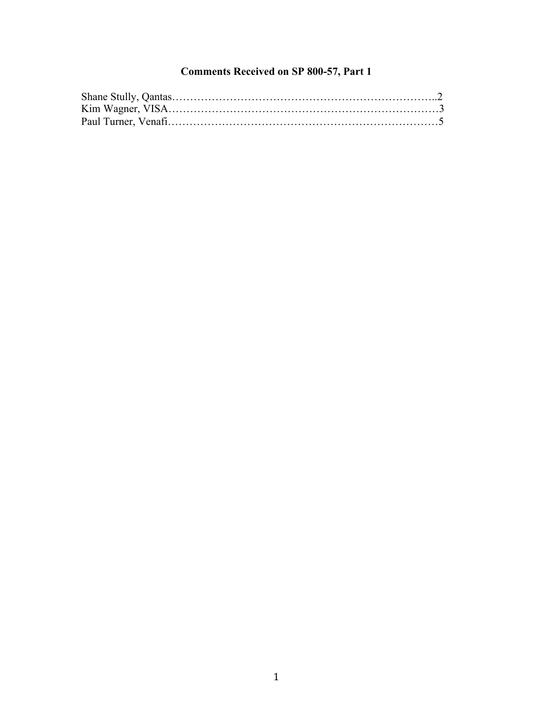## **Comments Received on SP 800-57, Part 1**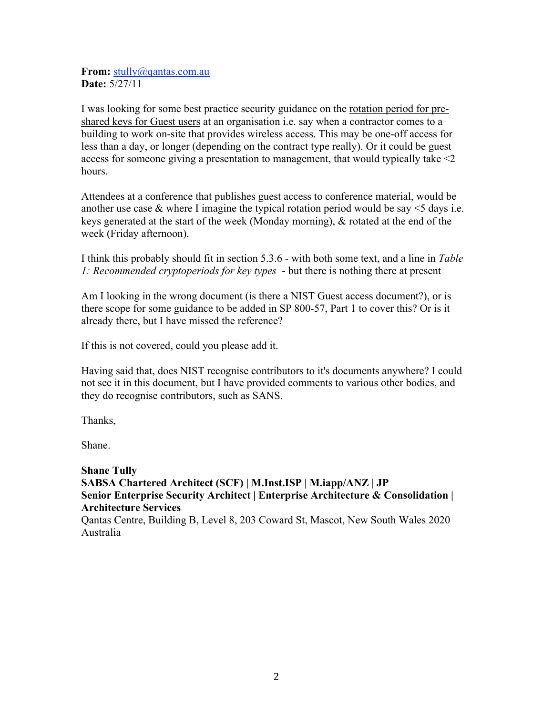**From:** stully@gantas.com.au **Date:** 5/27/11

I was looking for some best practice security guidance on the rotation period for preshared keys for Guest users at an organisation i.e. say when a contractor comes to a building to work on-site that provides wireless access. This may be one-off access for less than a day, or longer (depending on the contract type really). Or it could be guest access for someone giving a presentation to management, that would typically take <2 hours.

Attendees at a conference that publishes guest access to conference material, would be another use case  $\&$  where I imagine the typical rotation period would be say  $\leq$  5 days i.e. keys generated at the start of the week (Monday morning), & rotated at the end of the week (Friday afternoon).

 *1: Recommended cryptoperiods for key types* - but there is nothing there at present I think this probably should fit in section 5.3.6 - with both some text, and a line in *Table* 

Am I looking in the wrong document (is there a NIST Guest access document?), or is there scope for some guidance to be added in SP 800-57, Part 1 to cover this? Or is it already there, but I have missed the reference?

If this is not covered, could you please add it.

Having said that, does NIST recognise contributors to it's documents anywhere? I could not see it in this document, but I have provided comments to various other bodies, and they do recognise contributors, such as SANS.

Thanks,

Shane.

 **Architecture Services**  Australia **Shane Tully SABSA Chartered Architect (SCF) | M.Inst.ISP | M.iapp/ANZ | JP Senior Enterprise Security Architect | Enterprise Architecture & Consolidation |**  Qantas Centre, Building B, Level 8, 203 Coward St, Mascot, New South Wales 2020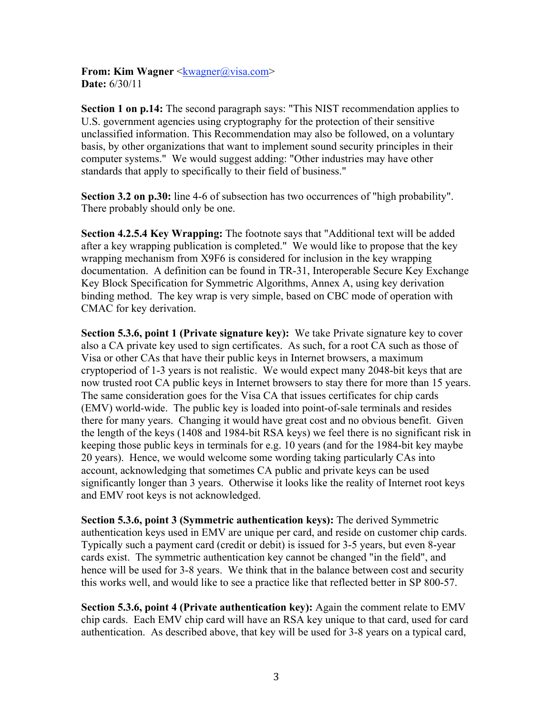**From: Kim Wagner** <kwagner@visa.com> **Date:** 6/30/11

 standards that apply to specifically to their field of business." **Section 1 on p.14:** The second paragraph says: "This NIST recommendation applies to U.S. government agencies using cryptography for the protection of their sensitive unclassified information. This Recommendation may also be followed, on a voluntary basis, by other organizations that want to implement sound security principles in their computer systems." We would suggest adding: "Other industries may have other

**Section 3.2 on p.30:** line 4-6 of subsection has two occurrences of "high probability". There probably should only be one.

 CMAC for key derivation. **Section 4.2.5.4 Key Wrapping:** The footnote says that "Additional text will be added after a key wrapping publication is completed." We would like to propose that the key wrapping mechanism from X9F6 is considered for inclusion in the key wrapping documentation. A definition can be found in TR-31, Interoperable Secure Key Exchange Key Block Specification for Symmetric Algorithms, Annex A, using key derivation binding method. The key wrap is very simple, based on CBC mode of operation with

**Section 5.3.6, point 1 (Private signature key):** We take Private signature key to cover also a CA private key used to sign certificates. As such, for a root CA such as those of Visa or other CAs that have their public keys in Internet browsers, a maximum cryptoperiod of 1-3 years is not realistic. We would expect many 2048-bit keys that are now trusted root CA public keys in Internet browsers to stay there for more than 15 years. The same consideration goes for the Visa CA that issues certificates for chip cards (EMV) world-wide. The public key is loaded into point-of-sale terminals and resides there for many years. Changing it would have great cost and no obvious benefit. Given the length of the keys (1408 and 1984-bit RSA keys) we feel there is no significant risk in keeping those public keys in terminals for e.g. 10 years (and for the 1984-bit key maybe 20 years). Hence, we would welcome some wording taking particularly CAs into account, acknowledging that sometimes CA public and private keys can be used significantly longer than 3 years. Otherwise it looks like the reality of Internet root keys and EMV root keys is not acknowledged.

**Section 5.3.6, point 3 (Symmetric authentication keys):** The derived Symmetric authentication keys used in EMV are unique per card, and reside on customer chip cards. Typically such a payment card (credit or debit) is issued for 3-5 years, but even 8-year cards exist. The symmetric authentication key cannot be changed "in the field", and hence will be used for 3-8 years. We think that in the balance between cost and security this works well, and would like to see a practice like that reflected better in SP 800-57.

**Section 5.3.6, point 4 (Private authentication key):** Again the comment relate to EMV chip cards. Each EMV chip card will have an RSA key unique to that card, used for card authentication. As described above, that key will be used for 3-8 years on a typical card,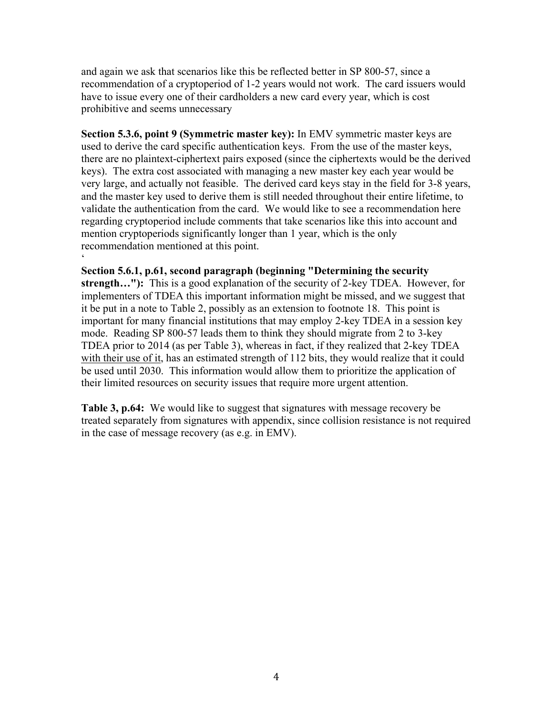and again we ask that scenarios like this be reflected better in SP 800-57, since a recommendation of a cryptoperiod of 1-2 years would not work. The card issuers would have to issue every one of their cardholders a new card every year, which is cost prohibitive and seems unnecessary

 recommendation mentioned at this point. ' **Section 5.3.6, point 9 (Symmetric master key):** In EMV symmetric master keys are used to derive the card specific authentication keys. From the use of the master keys, there are no plaintext-ciphertext pairs exposed (since the ciphertexts would be the derived keys). The extra cost associated with managing a new master key each year would be very large, and actually not feasible. The derived card keys stay in the field for 3-8 years, and the master key used to derive them is still needed throughout their entire lifetime, to validate the authentication from the card. We would like to see a recommendation here regarding cryptoperiod include comments that take scenarios like this into account and mention cryptoperiods significantly longer than 1 year, which is the only

## **Section 5.6.1, p.61, second paragraph (beginning "Determining the security**

**strength…"):** This is a good explanation of the security of 2-key TDEA. However, for implementers of TDEA this important information might be missed, and we suggest that it be put in a note to Table 2, possibly as an extension to footnote 18. This point is important for many financial institutions that may employ 2-key TDEA in a session key mode. Reading SP 800-57 leads them to think they should migrate from 2 to 3-key TDEA prior to 2014 (as per Table 3), whereas in fact, if they realized that 2-key TDEA with their use of it, has an estimated strength of 112 bits, they would realize that it could be used until 2030. This information would allow them to prioritize the application of their limited resources on security issues that require more urgent attention.

 in the case of message recovery (as e.g. in EMV). **Table 3, p.64:** We would like to suggest that signatures with message recovery be treated separately from signatures with appendix, since collision resistance is not required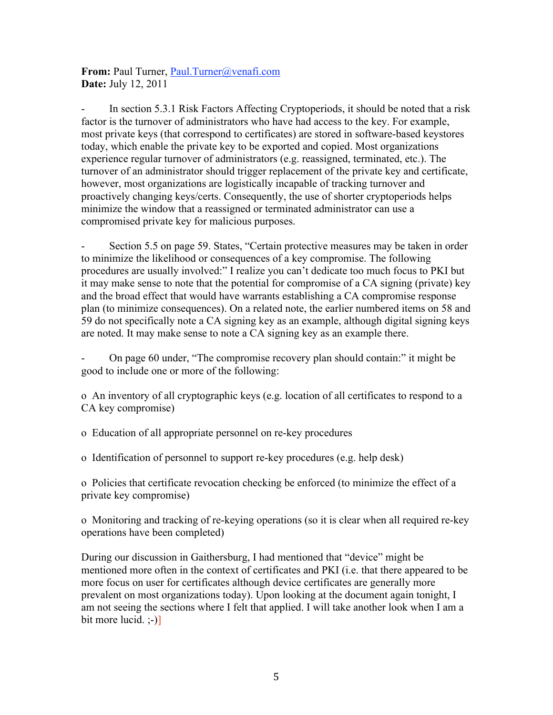**From:** Paul Turner, Paul.Turner@venafi.com **Date:** July 12, 2011

In section 5.3.1 Risk Factors Affecting Cryptoperiods, it should be noted that a risk factor is the turnover of administrators who have had access to the key. For example, most private keys (that correspond to certificates) are stored in software-based keystores today, which enable the private key to be exported and copied. Most organizations experience regular turnover of administrators (e.g. reassigned, terminated, etc.). The turnover of an administrator should trigger replacement of the private key and certificate, however, most organizations are logistically incapable of tracking turnover and proactively changing keys/certs. Consequently, the use of shorter cryptoperiods helps minimize the window that a reassigned or terminated administrator can use a compromised private key for malicious purposes.

Section 5.5 on page 59. States, "Certain protective measures may be taken in order to minimize the likelihood or consequences of a key compromise. The following procedures are usually involved:" I realize you can't dedicate too much focus to PKI but it may make sense to note that the potential for compromise of a CA signing (private) key and the broad effect that would have warrants establishing a CA compromise response plan (to minimize consequences). On a related note, the earlier numbered items on 58 and 59 do not specifically note a CA signing key as an example, although digital signing keys are noted. It may make sense to note a CA signing key as an example there.

- On page 60 under, "The compromise recovery plan should contain:" it might be good to include one or more of the following:

o An inventory of all cryptographic keys (e.g. location of all certificates to respond to a CA key compromise)

o Education of all appropriate personnel on re-key procedures

o Identification of personnel to support re-key procedures (e.g. help desk)

o Policies that certificate revocation checking be enforced (to minimize the effect of a private key compromise)

o Monitoring and tracking of re-keying operations (so it is clear when all required re-key operations have been completed)

During our discussion in Gaithersburg, I had mentioned that "device" might be mentioned more often in the context of certificates and PKI (i.e. that there appeared to be more focus on user for certificates although device certificates are generally more prevalent on most organizations today). Upon looking at the document again tonight, I am not seeing the sections where I felt that applied. I will take another look when I am a bit more lucid.  $\left(-\right)$ ]